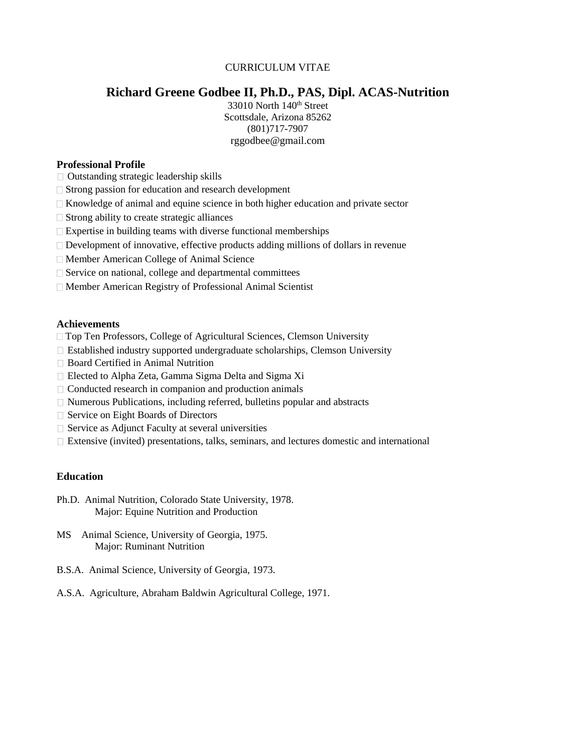# CURRICULUM VITAE

# **Richard Greene Godbee II, Ph.D., PAS, Dipl. ACAS-Nutrition**

33010 North 140<sup>th</sup> Street Scottsdale, Arizona 85262 (801)717-7907 rggodbee@gmail.com

## **Professional Profile**

- $\Box$  Outstanding strategic leadership skills
- $\Box$  Strong passion for education and research development
- Knowledge of animal and equine science in both higher education and private sector
- $\Box$  Strong ability to create strategic alliances
- $\Box$  Expertise in building teams with diverse functional memberships
- $\Box$  Development of innovative, effective products adding millions of dollars in revenue
- Member American College of Animal Science
- $\Box$  Service on national, college and departmental committees
- Member American Registry of Professional Animal Scientist

### **Achievements**

- □ Top Ten Professors, College of Agricultural Sciences, Clemson University
- $\Box$  Established industry supported undergraduate scholarships, Clemson University
- □ Board Certified in Animal Nutrition
- Elected to Alpha Zeta, Gamma Sigma Delta and Sigma Xi
- $\Box$  Conducted research in companion and production animals
- □ Numerous Publications, including referred, bulletins popular and abstracts
- □ Service on Eight Boards of Directors
- $\Box$  Service as Adjunct Faculty at several universities
- $\square$  Extensive (invited) presentations, talks, seminars, and lectures domestic and international

# **Education**

- Ph.D. Animal Nutrition, Colorado State University, 1978. Major: Equine Nutrition and Production
- MS Animal Science, University of Georgia, 1975. Major: Ruminant Nutrition
- B.S.A. Animal Science, University of Georgia, 1973.
- A.S.A. Agriculture, Abraham Baldwin Agricultural College, 1971.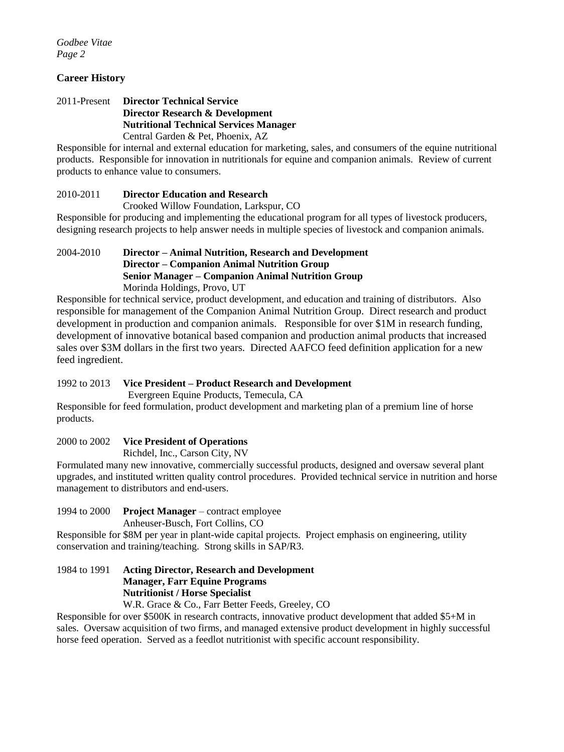# **Career History**

### 2011-Present **Director Technical Service Director Research & Development Nutritional Technical Services Manager** Central Garden & Pet, Phoenix, AZ

Responsible for internal and external education for marketing, sales, and consumers of the equine nutritional products. Responsible for innovation in nutritionals for equine and companion animals. Review of current products to enhance value to consumers.

## 2010-2011 **Director Education and Research**

## Crooked Willow Foundation, Larkspur, CO

Responsible for producing and implementing the educational program for all types of livestock producers, designing research projects to help answer needs in multiple species of livestock and companion animals.

# 2004-2010 **Director – Animal Nutrition, Research and Development Director – Companion Animal Nutrition Group Senior Manager – Companion Animal Nutrition Group**  Morinda Holdings, Provo, UT

Responsible for technical service, product development, and education and training of distributors. Also responsible for management of the Companion Animal Nutrition Group. Direct research and product development in production and companion animals. Responsible for over \$1M in research funding, development of innovative botanical based companion and production animal products that increased sales over \$3M dollars in the first two years. Directed AAFCO feed definition application for a new feed ingredient.

### 1992 to 2013 **Vice President – Product Research and Development**

Evergreen Equine Products, Temecula, CA

Responsible for feed formulation, product development and marketing plan of a premium line of horse products.

# 2000 to 2002 **Vice President of Operations**

Richdel, Inc., Carson City, NV

Formulated many new innovative, commercially successful products, designed and oversaw several plant upgrades, and instituted written quality control procedures. Provided technical service in nutrition and horse management to distributors and end-users.

1994 to 2000 **Project Manager** – contract employee

Anheuser-Busch, Fort Collins, CO

Responsible for \$8M per year in plant-wide capital projects. Project emphasis on engineering, utility conservation and training/teaching. Strong skills in SAP/R3.

1984 to 1991 **Acting Director, Research and Development Manager, Farr Equine Programs Nutritionist / Horse Specialist** 

W.R. Grace & Co., Farr Better Feeds, Greeley, CO

Responsible for over \$500K in research contracts, innovative product development that added \$5+M in sales. Oversaw acquisition of two firms, and managed extensive product development in highly successful horse feed operation. Served as a feedlot nutritionist with specific account responsibility.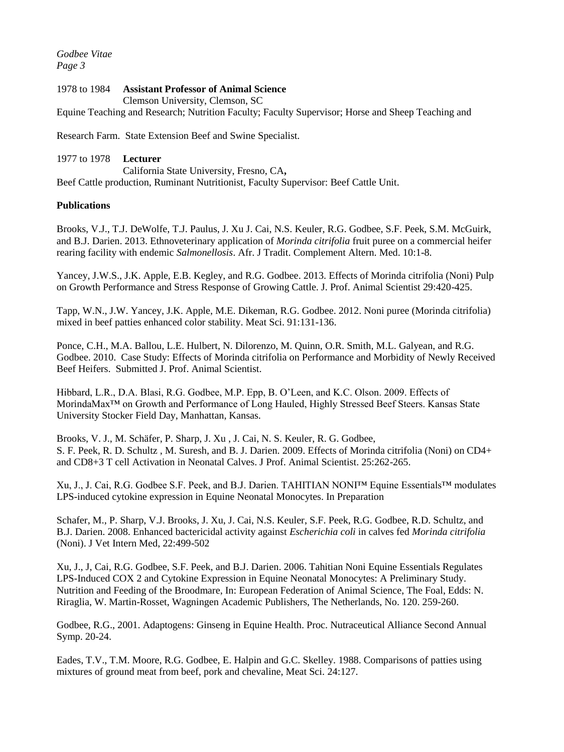1978 to 1984 **Assistant Professor of Animal Science** 

Clemson University, Clemson, SC

Equine Teaching and Research; Nutrition Faculty; Faculty Supervisor; Horse and Sheep Teaching and

Research Farm. State Extension Beef and Swine Specialist.

## 1977 to 1978 **Lecturer**

California State University, Fresno, CA**,**  Beef Cattle production, Ruminant Nutritionist, Faculty Supervisor: Beef Cattle Unit.

# **Publications**

Brooks, V.J., T.J. DeWolfe, T.J. Paulus, J. Xu J. Cai, N.S. Keuler, R.G. Godbee, S.F. Peek, S.M. McGuirk, and B.J. Darien. 2013. Ethnoveterinary application of *Morinda citrifolia* fruit puree on a commercial heifer rearing facility with endemic *Salmonellosis*. Afr. J Tradit. Complement Altern. Med. 10:1-8.

Yancey, J.W.S., J.K. Apple, E.B. Kegley, and R.G. Godbee. 2013. Effects of Morinda citrifolia (Noni) Pulp on Growth Performance and Stress Response of Growing Cattle. J. Prof. Animal Scientist 29:420-425.

Tapp, W.N., J.W. Yancey, J.K. Apple, M.E. Dikeman, R.G. Godbee. 2012. Noni puree (Morinda citrifolia) mixed in beef patties enhanced color stability. Meat Sci. 91:131-136.

Ponce, C.H., M.A. Ballou, L.E. Hulbert, N. Dilorenzo, M. Quinn, O.R. Smith, M.L. Galyean, and R.G. Godbee. 2010. Case Study: Effects of Morinda citrifolia on Performance and Morbidity of Newly Received Beef Heifers. Submitted J. Prof. Animal Scientist.

Hibbard, L.R., D.A. Blasi, R.G. Godbee, M.P. Epp, B. O'Leen, and K.C. Olson. 2009. Effects of MorindaMax™ on Growth and Performance of Long Hauled, Highly Stressed Beef Steers. Kansas State University Stocker Field Day, Manhattan, Kansas.

Brooks, V. J., M. Schäfer, P. Sharp, J. Xu , J. Cai, N. S. Keuler, R. G. Godbee, S. F. Peek, R. D. Schultz , M. Suresh, and B. J. Darien. 2009. Effects of Morinda citrifolia (Noni) on CD4+ and CD8+3 T cell Activation in Neonatal Calves. J Prof. Animal Scientist. 25:262-265.

Xu, J., J. Cai, R.G. Godbee S.F. Peek, and B.J. Darien. TAHITIAN NONI™ Equine Essentials™ modulates LPS-induced cytokine expression in Equine Neonatal Monocytes. In Preparation

Schafer, M., P. Sharp, V.J. Brooks, J. Xu, J. Cai, N.S. Keuler, S.F. Peek, R.G. Godbee, R.D. Schultz, and B.J. Darien. 2008. Enhanced bactericidal activity against *Escherichia coli* in calves fed *Morinda citrifolia* (Noni). J Vet Intern Med, 22:499-502

Xu, J., J, Cai, R.G. Godbee, S.F. Peek, and B.J. Darien. 2006. Tahitian Noni Equine Essentials Regulates LPS-Induced COX 2 and Cytokine Expression in Equine Neonatal Monocytes: A Preliminary Study. Nutrition and Feeding of the Broodmare, In: European Federation of Animal Science, The Foal, Edds: N. Riraglia, W. Martin-Rosset, Wagningen Academic Publishers, The Netherlands, No. 120. 259-260.

Godbee, R.G., 2001. Adaptogens: Ginseng in Equine Health. Proc. Nutraceutical Alliance Second Annual Symp. 20-24.

Eades, T.V., T.M. Moore, R.G. Godbee, E. Halpin and G.C. Skelley. 1988. Comparisons of patties using mixtures of ground meat from beef, pork and chevaline, Meat Sci. 24:127.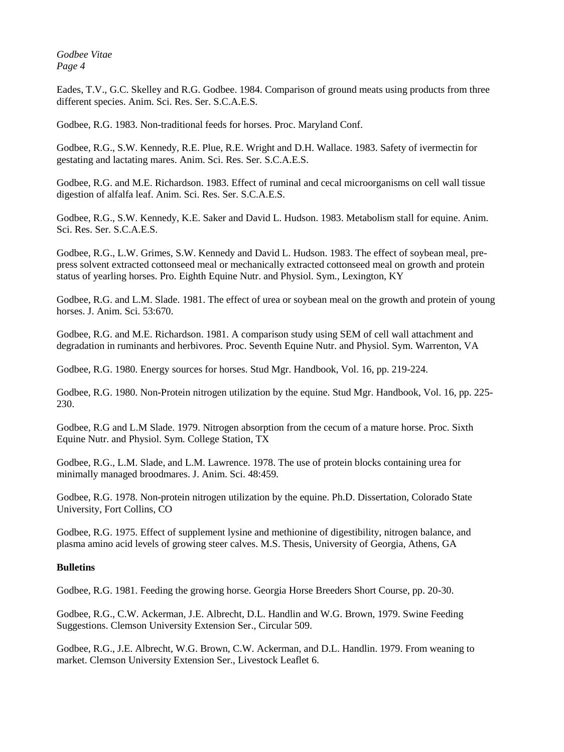Eades, T.V., G.C. Skelley and R.G. Godbee. 1984. Comparison of ground meats using products from three different species. Anim. Sci. Res. Ser. S.C.A.E.S.

Godbee, R.G. 1983. Non-traditional feeds for horses. Proc. Maryland Conf.

Godbee, R.G., S.W. Kennedy, R.E. Plue, R.E. Wright and D.H. Wallace. 1983. Safety of ivermectin for gestating and lactating mares. Anim. Sci. Res. Ser. S.C.A.E.S.

Godbee, R.G. and M.E. Richardson. 1983. Effect of ruminal and cecal microorganisms on cell wall tissue digestion of alfalfa leaf. Anim. Sci. Res. Ser. S.C.A.E.S.

Godbee, R.G., S.W. Kennedy, K.E. Saker and David L. Hudson. 1983. Metabolism stall for equine. Anim. Sci. Res. Ser. S.C.A.E.S.

Godbee, R.G., L.W. Grimes, S.W. Kennedy and David L. Hudson. 1983. The effect of soybean meal, prepress solvent extracted cottonseed meal or mechanically extracted cottonseed meal on growth and protein status of yearling horses. Pro. Eighth Equine Nutr. and Physiol. Sym., Lexington, KY

Godbee, R.G. and L.M. Slade. 1981. The effect of urea or soybean meal on the growth and protein of young horses. J. Anim. Sci. 53:670.

Godbee, R.G. and M.E. Richardson. 1981. A comparison study using SEM of cell wall attachment and degradation in ruminants and herbivores. Proc. Seventh Equine Nutr. and Physiol. Sym. Warrenton, VA

Godbee, R.G. 1980. Energy sources for horses. Stud Mgr. Handbook, Vol. 16, pp. 219-224.

Godbee, R.G. 1980. Non-Protein nitrogen utilization by the equine. Stud Mgr. Handbook, Vol. 16, pp. 225- 230.

Godbee, R.G and L.M Slade. 1979. Nitrogen absorption from the cecum of a mature horse. Proc. Sixth Equine Nutr. and Physiol. Sym. College Station, TX

Godbee, R.G., L.M. Slade, and L.M. Lawrence. 1978. The use of protein blocks containing urea for minimally managed broodmares. J. Anim. Sci. 48:459.

Godbee, R.G. 1978. Non-protein nitrogen utilization by the equine. Ph.D. Dissertation, Colorado State University, Fort Collins, CO

Godbee, R.G. 1975. Effect of supplement lysine and methionine of digestibility, nitrogen balance, and plasma amino acid levels of growing steer calves. M.S. Thesis, University of Georgia, Athens, GA

# **Bulletins**

Godbee, R.G. 1981. Feeding the growing horse. Georgia Horse Breeders Short Course, pp. 20-30.

Godbee, R.G., C.W. Ackerman, J.E. Albrecht, D.L. Handlin and W.G. Brown, 1979. Swine Feeding Suggestions. Clemson University Extension Ser., Circular 509.

Godbee, R.G., J.E. Albrecht, W.G. Brown, C.W. Ackerman, and D.L. Handlin. 1979. From weaning to market. Clemson University Extension Ser., Livestock Leaflet 6.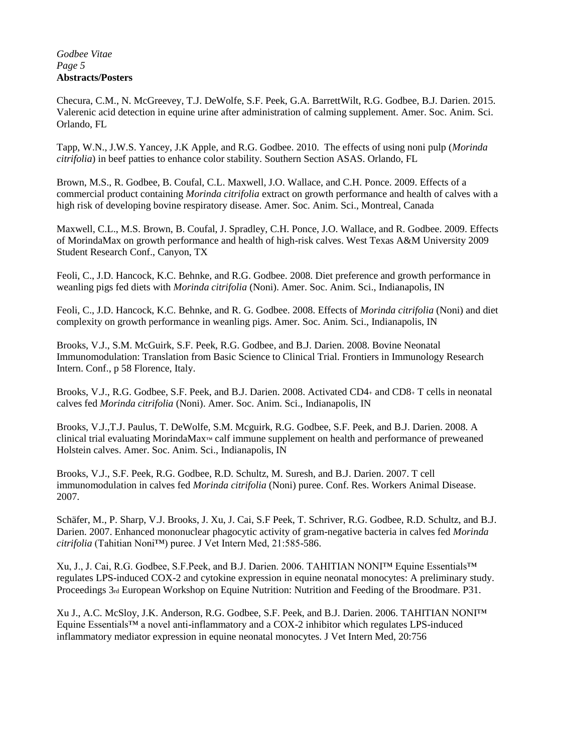# *Godbee Vitae Page 5*  **Abstracts/Posters**

Checura, C.M., N. McGreevey, T.J. DeWolfe, S.F. Peek, G.A. BarrettWilt, R.G. Godbee, B.J. Darien. 2015. Valerenic acid detection in equine urine after administration of calming supplement. Amer. Soc. Anim. Sci. Orlando, FL

Tapp, W.N., J.W.S. Yancey, J.K Apple, and R.G. Godbee. 2010. The effects of using noni pulp (*Morinda citrifolia*) in beef patties to enhance color stability. Southern Section ASAS. Orlando, FL

Brown, M.S., R. Godbee, B. Coufal, C.L. Maxwell, J.O. Wallace, and C.H. Ponce. 2009. Effects of a commercial product containing *Morinda citrifolia* extract on growth performance and health of calves with a high risk of developing bovine respiratory disease. Amer. Soc. Anim. Sci., Montreal, Canada

Maxwell, C.L., M.S. Brown, B. Coufal, J. Spradley, C.H. Ponce, J.O. Wallace, and R. Godbee. 2009. Effects of MorindaMax on growth performance and health of high-risk calves. West Texas A&M University 2009 Student Research Conf., Canyon, TX

Feoli, C., J.D. Hancock, K.C. Behnke, and R.G. Godbee. 2008. Diet preference and growth performance in weanling pigs fed diets with *Morinda citrifolia* (Noni). Amer. Soc. Anim. Sci., Indianapolis, IN

Feoli, C., J.D. Hancock, K.C. Behnke, and R. G. Godbee. 2008. Effects of *Morinda citrifolia* (Noni) and diet complexity on growth performance in weanling pigs. Amer. Soc. Anim. Sci., Indianapolis, IN

Brooks, V.J., S.M. McGuirk, S.F. Peek, R.G. Godbee, and B.J. Darien. 2008. Bovine Neonatal Immunomodulation: Translation from Basic Science to Clinical Trial. Frontiers in Immunology Research Intern. Conf., p 58 Florence, Italy.

Brooks, V.J., R.G. Godbee, S.F. Peek, and B.J. Darien. 2008. Activated CD4<sup>+</sup> and CD8<sup>+</sup> T cells in neonatal calves fed *Morinda citrifolia* (Noni). Amer. Soc. Anim. Sci., Indianapolis, IN

Brooks, V.J.,T.J. Paulus, T. DeWolfe, S.M. Mcguirk, R.G. Godbee, S.F. Peek, and B.J. Darien. 2008. A clinical trial evaluating MorindaMax™ calf immune supplement on health and performance of preweaned Holstein calves. Amer. Soc. Anim. Sci., Indianapolis, IN

Brooks, V.J., S.F. Peek, R.G. Godbee, R.D. Schultz, M. Suresh, and B.J. Darien. 2007. T cell immunomodulation in calves fed *Morinda citrifolia* (Noni) puree. Conf. Res. Workers Animal Disease. 2007.

Schäfer, M., P. Sharp, V.J. Brooks, J. Xu, J. Cai, S.F Peek, T. Schriver, R.G. Godbee, R.D. Schultz, and B.J. Darien. 2007. Enhanced mononuclear phagocytic activity of gram-negative bacteria in calves fed *Morinda citrifolia* (Tahitian Noni™) puree. J Vet Intern Med, 21:585-586.

Xu, J., J. Cai, R.G. Godbee, S.F.Peek, and B.J. Darien. 2006. TAHITIAN NONI™ Equine Essentials™ regulates LPS-induced COX-2 and cytokine expression in equine neonatal monocytes: A preliminary study. Proceedings 3rd European Workshop on Equine Nutrition: Nutrition and Feeding of the Broodmare. P31.

Xu J., A.C. McSloy, J.K. Anderson, R.G. Godbee, S.F. Peek, and B.J. Darien. 2006. TAHITIAN NONI™ Equine Essentials™ a novel anti-inflammatory and a COX-2 inhibitor which regulates LPS-induced inflammatory mediator expression in equine neonatal monocytes. J Vet Intern Med, 20:756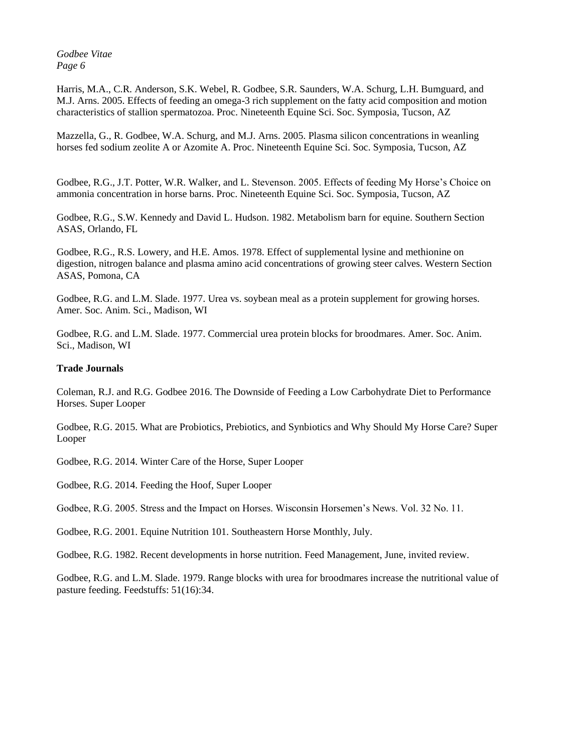Harris, M.A., C.R. Anderson, S.K. Webel, R. Godbee, S.R. Saunders, W.A. Schurg, L.H. Bumguard, and M.J. Arns. 2005. Effects of feeding an omega-3 rich supplement on the fatty acid composition and motion characteristics of stallion spermatozoa. Proc. Nineteenth Equine Sci. Soc. Symposia, Tucson, AZ

Mazzella, G., R. Godbee, W.A. Schurg, and M.J. Arns. 2005. Plasma silicon concentrations in weanling horses fed sodium zeolite A or Azomite A. Proc. Nineteenth Equine Sci. Soc. Symposia, Tucson, AZ

Godbee, R.G., J.T. Potter, W.R. Walker, and L. Stevenson. 2005. Effects of feeding My Horse's Choice on ammonia concentration in horse barns. Proc. Nineteenth Equine Sci. Soc. Symposia, Tucson, AZ

Godbee, R.G., S.W. Kennedy and David L. Hudson. 1982. Metabolism barn for equine. Southern Section ASAS, Orlando, FL

Godbee, R.G., R.S. Lowery, and H.E. Amos. 1978. Effect of supplemental lysine and methionine on digestion, nitrogen balance and plasma amino acid concentrations of growing steer calves. Western Section ASAS, Pomona, CA

Godbee, R.G. and L.M. Slade. 1977. Urea vs. soybean meal as a protein supplement for growing horses. Amer. Soc. Anim. Sci., Madison, WI

Godbee, R.G. and L.M. Slade. 1977. Commercial urea protein blocks for broodmares. Amer. Soc. Anim. Sci., Madison, WI

#### **Trade Journals**

Coleman, R.J. and R.G. Godbee 2016. The Downside of Feeding a Low Carbohydrate Diet to Performance Horses. Super Looper

Godbee, R.G. 2015. What are Probiotics, Prebiotics, and Synbiotics and Why Should My Horse Care? Super Looper

Godbee, R.G. 2014. Winter Care of the Horse, Super Looper

Godbee, R.G. 2014. Feeding the Hoof, Super Looper

Godbee, R.G. 2005. Stress and the Impact on Horses. Wisconsin Horsemen's News. Vol. 32 No. 11.

Godbee, R.G. 2001. Equine Nutrition 101. Southeastern Horse Monthly, July.

Godbee, R.G. 1982. Recent developments in horse nutrition. Feed Management, June, invited review.

Godbee, R.G. and L.M. Slade. 1979. Range blocks with urea for broodmares increase the nutritional value of pasture feeding. Feedstuffs: 51(16):34.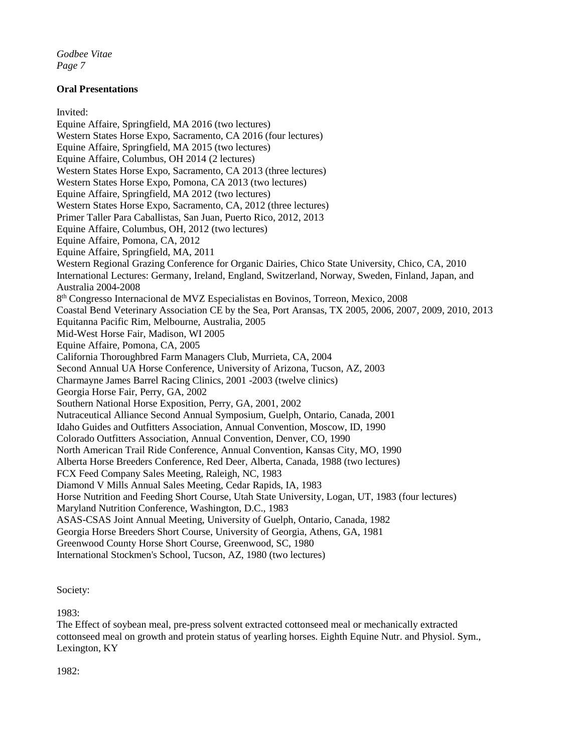# **Oral Presentations**

Invited: Equine Affaire, Springfield, MA 2016 (two lectures) Western States Horse Expo, Sacramento, CA 2016 (four lectures) Equine Affaire, Springfield, MA 2015 (two lectures) Equine Affaire, Columbus, OH 2014 (2 lectures) Western States Horse Expo, Sacramento, CA 2013 (three lectures) Western States Horse Expo, Pomona, CA 2013 (two lectures) Equine Affaire, Springfield, MA 2012 (two lectures) Western States Horse Expo, Sacramento, CA, 2012 (three lectures) Primer Taller Para Caballistas, San Juan, Puerto Rico, 2012, 2013 Equine Affaire, Columbus, OH, 2012 (two lectures) Equine Affaire, Pomona, CA, 2012 Equine Affaire, Springfield, MA, 2011 Western Regional Grazing Conference for Organic Dairies, Chico State University, Chico, CA, 2010 International Lectures: Germany, Ireland, England, Switzerland, Norway, Sweden, Finland, Japan, and Australia 2004-2008 8 th Congresso Internacional de MVZ Especialistas en Bovinos, Torreon, Mexico, 2008 Coastal Bend Veterinary Association CE by the Sea, Port Aransas, TX 2005, 2006, 2007, 2009, 2010, 2013 Equitanna Pacific Rim, Melbourne, Australia, 2005 Mid-West Horse Fair, Madison, WI 2005 Equine Affaire, Pomona, CA, 2005 California Thoroughbred Farm Managers Club, Murrieta, CA, 2004 Second Annual UA Horse Conference, University of Arizona, Tucson, AZ, 2003 Charmayne James Barrel Racing Clinics, 2001 -2003 (twelve clinics) Georgia Horse Fair, Perry, GA, 2002 Southern National Horse Exposition, Perry, GA, 2001, 2002 Nutraceutical Alliance Second Annual Symposium, Guelph, Ontario, Canada, 2001 Idaho Guides and Outfitters Association, Annual Convention, Moscow, ID, 1990 Colorado Outfitters Association, Annual Convention, Denver, CO, 1990 North American Trail Ride Conference, Annual Convention, Kansas City, MO, 1990 Alberta Horse Breeders Conference, Red Deer, Alberta, Canada, 1988 (two lectures) FCX Feed Company Sales Meeting, Raleigh, NC, 1983 Diamond V Mills Annual Sales Meeting, Cedar Rapids, IA, 1983 Horse Nutrition and Feeding Short Course, Utah State University, Logan, UT, 1983 (four lectures) Maryland Nutrition Conference, Washington, D.C., 1983 ASAS-CSAS Joint Annual Meeting, University of Guelph, Ontario, Canada, 1982 Georgia Horse Breeders Short Course, University of Georgia, Athens, GA, 1981 Greenwood County Horse Short Course, Greenwood, SC, 1980 International Stockmen's School, Tucson, AZ, 1980 (two lectures)

Society:

1983:

The Effect of soybean meal, pre-press solvent extracted cottonseed meal or mechanically extracted cottonseed meal on growth and protein status of yearling horses. Eighth Equine Nutr. and Physiol. Sym., Lexington, KY

1982: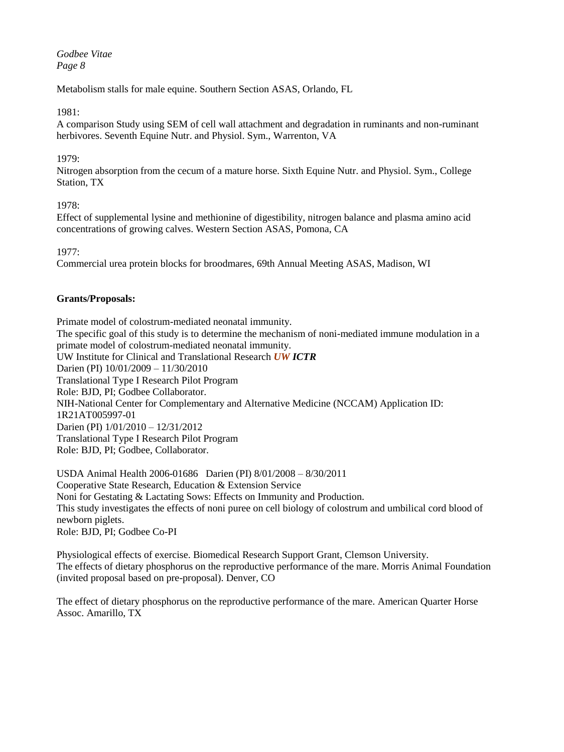Metabolism stalls for male equine. Southern Section ASAS, Orlando, FL

# 1981:

A comparison Study using SEM of cell wall attachment and degradation in ruminants and non-ruminant herbivores. Seventh Equine Nutr. and Physiol. Sym., Warrenton, VA

# 1979:

Nitrogen absorption from the cecum of a mature horse. Sixth Equine Nutr. and Physiol. Sym., College Station, TX

1978:

Effect of supplemental lysine and methionine of digestibility, nitrogen balance and plasma amino acid concentrations of growing calves. Western Section ASAS, Pomona, CA

1977:

Commercial urea protein blocks for broodmares, 69th Annual Meeting ASAS, Madison, WI

# **Grants/Proposals:**

Primate model of colostrum-mediated neonatal immunity. The specific goal of this study is to determine the mechanism of noni-mediated immune modulation in a primate model of colostrum-mediated neonatal immunity. UW Institute for Clinical and Translational Research *UW ICTR* Darien (PI) 10/01/2009 – 11/30/2010 Translational Type I Research Pilot Program Role: BJD, PI; Godbee Collaborator. NIH[-National Center for Complementary and Alternative Medicine \(NCCAM\)](http://nccam.nih.gov/) Application ID: 1R21AT005997-01 Darien (PI) 1/01/2010 – 12/31/2012 Translational Type I Research Pilot Program Role: BJD, PI; Godbee, Collaborator.

USDA Animal Health 2006-01686 Darien (PI) 8/01/2008 – 8/30/2011 Cooperative State Research, Education & Extension Service Noni for Gestating & Lactating Sows: Effects on Immunity and Production. This study investigates the effects of noni puree on cell biology of colostrum and umbilical cord blood of newborn piglets. Role: BJD, PI; Godbee Co-PI

Physiological effects of exercise. Biomedical Research Support Grant, Clemson University. The effects of dietary phosphorus on the reproductive performance of the mare. Morris Animal Foundation (invited proposal based on pre-proposal). Denver, CO

The effect of dietary phosphorus on the reproductive performance of the mare. American Quarter Horse Assoc. Amarillo, TX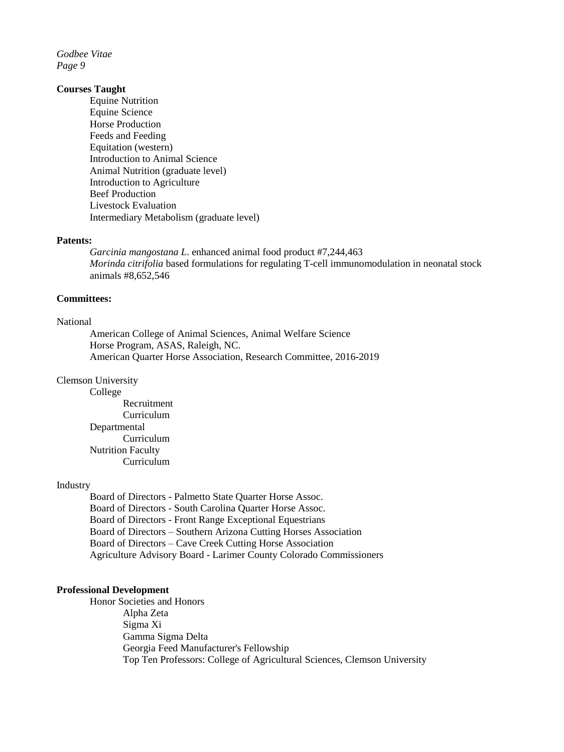### **Courses Taught**

Equine Nutrition Equine Science Horse Production Feeds and Feeding Equitation (western) Introduction to Animal Science Animal Nutrition (graduate level) Introduction to Agriculture Beef Production Livestock Evaluation Intermediary Metabolism (graduate level)

#### **Patents:**

*Garcinia mangostana L*. enhanced animal food product #7,244,463 *Morinda citrifolia* based formulations for regulating T-cell immunomodulation in neonatal stock animals #8,652,546

# **Committees:**

### National

American College of Animal Sciences, Animal Welfare Science Horse Program, ASAS, Raleigh, NC. American Quarter Horse Association, Research Committee, 2016-2019

### Clemson University

 College Recruitment Curriculum Departmental Curriculum Nutrition Faculty Curriculum

#### Industry

Board of Directors - Palmetto State Quarter Horse Assoc. Board of Directors - South Carolina Quarter Horse Assoc. Board of Directors - Front Range Exceptional Equestrians Board of Directors – Southern Arizona Cutting Horses Association Board of Directors – Cave Creek Cutting Horse Association Agriculture Advisory Board - Larimer County Colorado Commissioners

### **Professional Development**

Honor Societies and Honors Alpha Zeta Sigma Xi Gamma Sigma Delta Georgia Feed Manufacturer's Fellowship Top Ten Professors: College of Agricultural Sciences, Clemson University